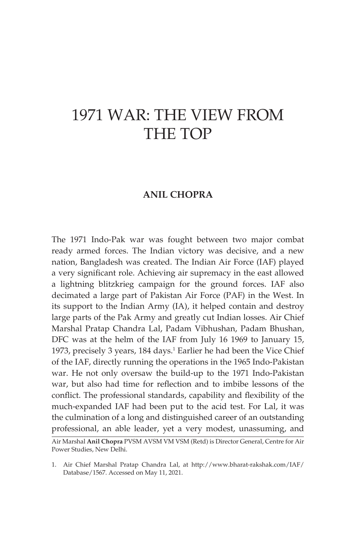# 1971 WAR: THE VIEW FROM THE TOP

# **ANIL CHOPRA**

The 1971 Indo-Pak war was fought between two major combat ready armed forces. The Indian victory was decisive, and a new nation, Bangladesh was created. The Indian Air Force (IAF) played a very significant role. Achieving air supremacy in the east allowed a lightning blitzkrieg campaign for the ground forces. IAF also decimated a large part of Pakistan Air Force (PAF) in the West. In its support to the Indian Army (IA), it helped contain and destroy large parts of the Pak Army and greatly cut Indian losses. Air Chief Marshal Pratap Chandra Lal, Padam Vibhushan, Padam Bhushan, DFC was at the helm of the IAF from July 16 1969 to January 15, 1973, precisely 3 years, 184 days.<sup>1</sup> Earlier he had been the Vice Chief of the IAF, directly running the operations in the 1965 Indo-Pakistan war. He not only oversaw the build-up to the 1971 Indo-Pakistan war, but also had time for reflection and to imbibe lessons of the conflict. The professional standards, capability and flexibility of the much-expanded IAF had been put to the acid test. For Lal, it was the culmination of a long and distinguished career of an outstanding professional, an able leader, yet a very modest, unassuming, and

Air Marshal **Anil Chopra** PVSM AVSM VM VSM (Retd) is Director General, Centre for Air Power Studies, New Delhi.

<sup>1.</sup> Air Chief Marshal Pratap Chandra Lal, at http://www.bharat-rakshak.com/IAF/ Database/1567. Accessed on May 11, 2021.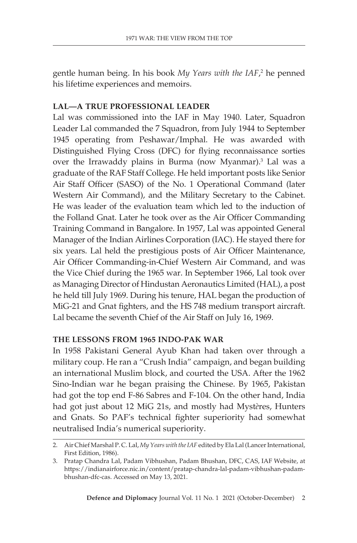gentle human being. In his book My Years with the IAF,<sup>2</sup> he penned his lifetime experiences and memoirs.

## **LAL—A TRUE PROFESSIONAL LEADER**

Lal was commissioned into the IAF in May 1940. Later, Squadron Leader Lal commanded the 7 Squadron, from July 1944 to September 1945 operating from Peshawar/Imphal. He was awarded with Distinguished Flying Cross (DFC) for flying reconnaissance sorties over the Irrawaddy plains in Burma (now Myanmar).3 Lal was a graduate of the RAF Staff College. He held important posts like Senior Air Staff Officer (SASO) of the No. 1 Operational Command (later Western Air Command), and the Military Secretary to the Cabinet. He was leader of the evaluation team which led to the induction of the Folland Gnat. Later he took over as the Air Officer Commanding Training Command in Bangalore. In 1957, Lal was appointed General Manager of the Indian Airlines Corporation (IAC). He stayed there for six years. Lal held the prestigious posts of Air Officer Maintenance, Air Officer Commanding-in-Chief Western Air Command, and was the Vice Chief during the 1965 war. In September 1966, Lal took over as Managing Director of Hindustan Aeronautics Limited (HAL), a post he held till July 1969. During his tenure, HAL began the production of MiG-21 and Gnat fighters, and the HS 748 medium transport aircraft. Lal became the seventh Chief of the Air Staff on July 16, 1969.

## **THE LESSONS FROM 1965 INDO-PAK WAR**

In 1958 Pakistani General Ayub Khan had taken over through a military coup. He ran a "Crush India" campaign, and began building an international Muslim block, and courted the USA. After the 1962 Sino-Indian war he began praising the Chinese. By 1965, Pakistan had got the top end F-86 Sabres and F-104. On the other hand, India had got just about 12 MiG 21s, and mostly had Myst*è*res, Hunters and Gnats. So PAF's technical fighter superiority had somewhat neutralised India's numerical superiority.

<sup>2.</sup> Air Chief Marshal P. C. Lal, *My Years with the IAF* edited by Ela Lal (Lancer International, First Edition, 1986).

<sup>3.</sup> Pratap Chandra Lal, Padam Vibhushan, Padam Bhushan, DFC, CAS, IAF Website, at https://indianairforce.nic.in/content/pratap-chandra-lal-padam-vibhushan-padambhushan-dfc-cas. Accessed on May 13, 2021.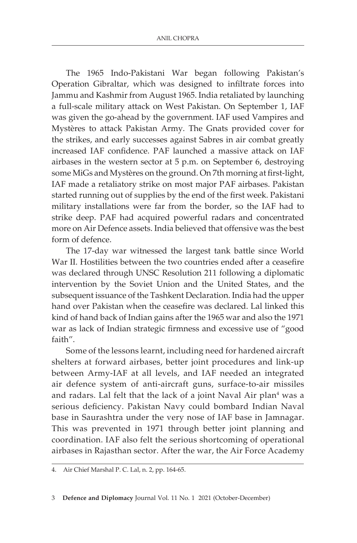The 1965 Indo-Pakistani War began following Pakistan's Operation Gibraltar, which was designed to infiltrate forces into Jammu and Kashmir from August 1965. India retaliated by launching a full-scale military attack on West Pakistan. On September 1, IAF was given the go-ahead by the government. IAF used Vampires and Mystères to attack Pakistan Army. The Gnats provided cover for the strikes, and early successes against Sabres in air combat greatly increased IAF confidence. PAF launched a massive attack on IAF airbases in the western sector at 5 p.m. on September 6, destroying some MiGs and Mystères on the ground. On 7th morning at first-light, IAF made a retaliatory strike on most major PAF airbases. Pakistan started running out of supplies by the end of the first week. Pakistani military installations were far from the border, so the IAF had to strike deep. PAF had acquired powerful radars and concentrated more on Air Defence assets. India believed that offensive was the best form of defence.

The 17-day war witnessed the largest tank battle since World War II. Hostilities between the two countries ended after a ceasefire was declared through UNSC Resolution 211 following a diplomatic intervention by the Soviet Union and the United States, and the subsequent issuance of the Tashkent Declaration. India had the upper hand over Pakistan when the ceasefire was declared. Lal linked this kind of hand back of Indian gains after the 1965 war and also the 1971 war as lack of Indian strategic firmness and excessive use of "good faith".

Some of the lessons learnt, including need for hardened aircraft shelters at forward airbases, better joint procedures and link-up between Army-IAF at all levels, and IAF needed an integrated air defence system of anti-aircraft guns, surface-to-air missiles and radars. Lal felt that the lack of a joint Naval Air plan<sup>4</sup> was a serious deficiency. Pakistan Navy could bombard Indian Naval base in Saurashtra under the very nose of IAF base in Jamnagar. This was prevented in 1971 through better joint planning and coordination. IAF also felt the serious shortcoming of operational airbases in Rajasthan sector. After the war, the Air Force Academy

<sup>4.</sup> Air Chief Marshal P. C. Lal, n. 2, pp. 164-65.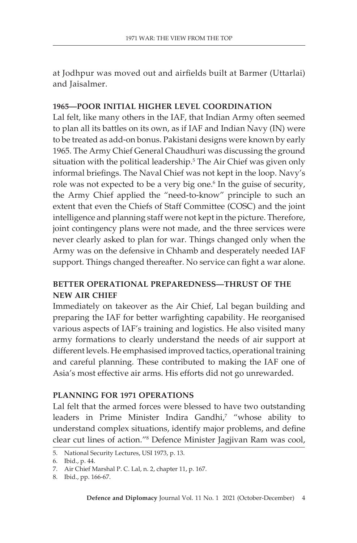at Jodhpur was moved out and airfields built at Barmer (Uttarlai) and Jaisalmer.

## **1965—POOR INITIAL HIGHER LEVEL COORDINATION**

Lal felt, like many others in the IAF, that Indian Army often seemed to plan all its battles on its own, as if IAF and Indian Navy (IN) were to be treated as add-on bonus. Pakistani designs were known by early 1965. The Army Chief General Chaudhuri was discussing the ground situation with the political leadership.<sup>5</sup> The Air Chief was given only informal briefings. The Naval Chief was not kept in the loop. Navy's role was not expected to be a very big one.<sup>6</sup> In the guise of security, the Army Chief applied the "need-to-know" principle to such an extent that even the Chiefs of Staff Committee (COSC) and the joint intelligence and planning staff were not kept in the picture. Therefore, joint contingency plans were not made, and the three services were never clearly asked to plan for war. Things changed only when the Army was on the defensive in Chhamb and desperately needed IAF support. Things changed thereafter. No service can fight a war alone.

## **BETTER OPERATIONAL PREPAREDNESS—THRUST OF THE NEW AIR CHIEF**

Immediately on takeover as the Air Chief, Lal began building and preparing the IAF for better warfighting capability. He reorganised various aspects of IAF's training and logistics. He also visited many army formations to clearly understand the needs of air support at different levels. He emphasised improved tactics, operational training and careful planning. These contributed to making the IAF one of Asia's most effective air arms. His efforts did not go unrewarded.

## **PLANNING FOR 1971 OPERATIONS**

Lal felt that the armed forces were blessed to have two outstanding leaders in Prime Minister Indira Gandhi,<sup>7</sup> "whose ability to understand complex situations, identify major problems, and define clear cut lines of action."8 Defence Minister Jagjivan Ram was cool,

<sup>5.</sup> National Security Lectures, USI 1973, p. 13.

<sup>6.</sup> Ibid., p. 44.

<sup>7.</sup> Air Chief Marshal P. C. Lal, n. 2, chapter 11, p. 167.

<sup>8.</sup> Ibid., pp. 166-67.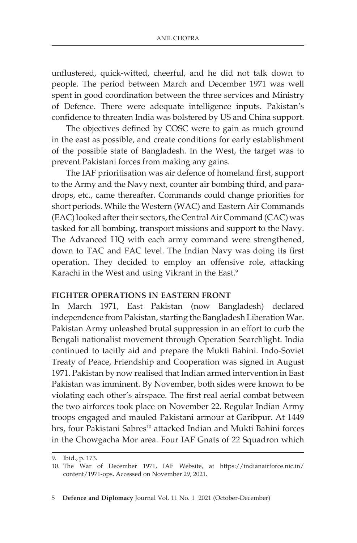unflustered, quick-witted, cheerful, and he did not talk down to people. The period between March and December 1971 was well spent in good coordination between the three services and Ministry of Defence. There were adequate intelligence inputs. Pakistan's confidence to threaten India was bolstered by US and China support.

The objectives defined by COSC were to gain as much ground in the east as possible, and create conditions for early establishment of the possible state of Bangladesh. In the West, the target was to prevent Pakistani forces from making any gains.

The IAF prioritisation was air defence of homeland first, support to the Army and the Navy next, counter air bombing third, and paradrops, etc., came thereafter. Commands could change priorities for short periods. While the Western (WAC) and Eastern Air Commands (EAC) looked after their sectors, the Central Air Command (CAC) was tasked for all bombing, transport missions and support to the Navy. The Advanced HQ with each army command were strengthened, down to TAC and FAC level. The Indian Navy was doing its first operation. They decided to employ an offensive role, attacking Karachi in the West and using Vikrant in the East.<sup>9</sup>

## **FIGHTER OPERATIONS IN EASTERN FRONT**

In March 1971, East Pakistan (now Bangladesh) declared independence from Pakistan, starting the Bangladesh Liberation War. Pakistan Army unleashed brutal suppression in an effort to curb the Bengali nationalist movement through Operation Searchlight. India continued to tacitly aid and prepare the Mukti Bahini. Indo-Soviet Treaty of Peace, Friendship and Cooperation was signed in August 1971. Pakistan by now realised that Indian armed intervention in East Pakistan was imminent. By November, both sides were known to be violating each other's airspace. The first real aerial combat between the two airforces took place on November 22. Regular Indian Army troops engaged and mauled Pakistani armour at Garibpur. At 1449 hrs, four Pakistani Sabres<sup>10</sup> attacked Indian and Mukti Bahini forces in the Chowgacha Mor area. Four IAF Gnats of 22 Squadron which

<sup>9.</sup> Ibid., p. 173.

<sup>10.</sup> The War of December 1971, IAF Website, at https://indianairforce.nic.in/ content/1971-ops. Accessed on November 29, 2021.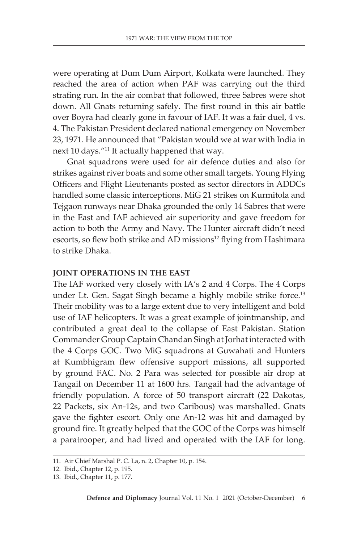were operating at Dum Dum Airport, Kolkata were launched. They reached the area of action when PAF was carrying out the third strafing run. In the air combat that followed, three Sabres were shot down. All Gnats returning safely. The first round in this air battle over Boyra had clearly gone in favour of IAF. It was a fair duel, 4 vs. 4. The Pakistan President declared national emergency on November 23, 1971. He announced that "Pakistan would we at war with India in next 10 days."11 It actually happened that way.

Gnat squadrons were used for air defence duties and also for strikes against river boats and some other small targets. Young Flying Officers and Flight Lieutenants posted as sector directors in ADDCs handled some classic interceptions. MiG 21 strikes on Kurmitola and Tejgaon runways near Dhaka grounded the only 14 Sabres that were in the East and IAF achieved air superiority and gave freedom for action to both the Army and Navy. The Hunter aircraft didn't need escorts, so flew both strike and AD missions<sup>12</sup> flying from Hashimara to strike Dhaka.

#### **JOINT OPERATIONS IN THE EAST**

The IAF worked very closely with IA's 2 and 4 Corps. The 4 Corps under Lt. Gen. Sagat Singh became a highly mobile strike force.<sup>13</sup> Their mobility was to a large extent due to very intelligent and bold use of IAF helicopters. It was a great example of jointmanship, and contributed a great deal to the collapse of East Pakistan. Station Commander Group Captain Chandan Singh at Jorhat interacted with the 4 Corps GOC. Two MiG squadrons at Guwahati and Hunters at Kumbhigram flew offensive support missions, all supported by ground FAC. No. 2 Para was selected for possible air drop at Tangail on December 11 at 1600 hrs. Tangail had the advantage of friendly population. A force of 50 transport aircraft (22 Dakotas, 22 Packets, six An-12s, and two Caribous) was marshalled. Gnats gave the fighter escort. Only one An-12 was hit and damaged by ground fire. It greatly helped that the GOC of the Corps was himself a paratrooper, and had lived and operated with the IAF for long.

<sup>11.</sup> Air Chief Marshal P. C. La, n. 2, Chapter 10, p. 154.

<sup>12.</sup> Ibid., Chapter 12, p. 195.

<sup>13.</sup> Ibid., Chapter 11, p. 177.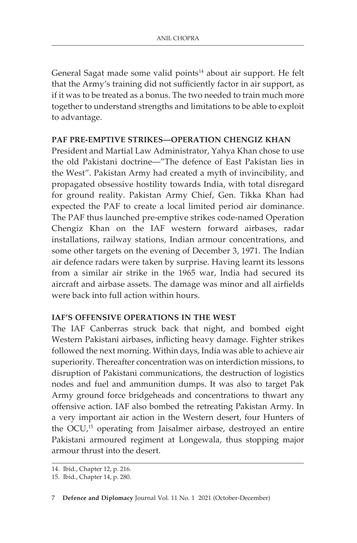General Sagat made some valid points<sup>14</sup> about air support. He felt that the Army's training did not sufficiently factor in air support, as if it was to be treated as a bonus. The two needed to train much more together to understand strengths and limitations to be able to exploit to advantage.

## **PAF PRE-EMPTIVE STRIKES—OPERATION CHENGIZ KHAN**

President and Martial Law Administrator, Yahya Khan chose to use the old Pakistani doctrine—"The defence of East Pakistan lies in the West". Pakistan Army had created a myth of invincibility, and propagated obsessive hostility towards India, with total disregard for ground reality. Pakistan Army Chief, Gen. Tikka Khan had expected the PAF to create a local limited period air dominance. The PAF thus launched pre-emptive strikes code-named Operation Chengiz Khan on the IAF western forward airbases, radar installations, railway stations, Indian armour concentrations, and some other targets on the evening of December 3, 1971. The Indian air defence radars were taken by surprise. Having learnt its lessons from a similar air strike in the 1965 war, India had secured its aircraft and airbase assets. The damage was minor and all airfields were back into full action within hours.

## **IAF'S OFFENSIVE OPERATIONS IN THE WEST**

The IAF Canberras struck back that night, and bombed eight Western Pakistani airbases, inflicting heavy damage. Fighter strikes followed the next morning. Within days, India was able to achieve air superiority. Thereafter concentration was on interdiction missions, to disruption of Pakistani communications, the destruction of logistics nodes and fuel and ammunition dumps. It was also to target Pak Army ground force bridgeheads and concentrations to thwart any offensive action. IAF also bombed the retreating Pakistan Army. In a very important air action in the Western desert, four Hunters of the OCU,<sup>15</sup> operating from Jaisalmer airbase, destroyed an entire Pakistani armoured regiment at Longewala, thus stopping major armour thrust into the desert.

<sup>14.</sup> Ibid., Chapter 12, p. 216.

<sup>15.</sup> Ibid., Chapter 14, p. 280.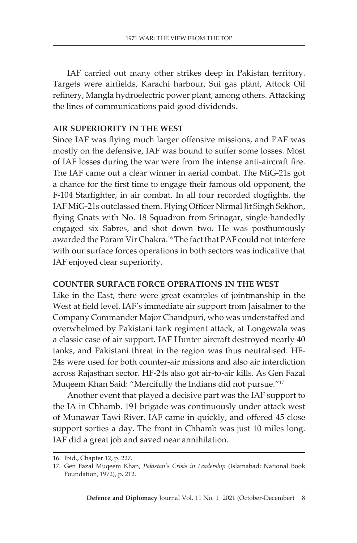IAF carried out many other strikes deep in Pakistan territory. Targets were airfields, Karachi harbour, Sui gas plant, Attock Oil refinery, Mangla hydroelectric power plant, among others. Attacking the lines of communications paid good dividends.

#### **AIR SUPERIORITY IN THE WEST**

Since IAF was flying much larger offensive missions, and PAF was mostly on the defensive, IAF was bound to suffer some losses. Most of IAF losses during the war were from the intense anti-aircraft fire. The IAF came out a clear winner in aerial combat. The MiG-21s got a chance for the first time to engage their famous old opponent, the F-104 Starfighter, in air combat. In all four recorded dogfights, the IAF MiG-21s outclassed them. Flying Officer Nirmal Jit Singh Sekhon, flying Gnats with No. 18 Squadron from Srinagar, single-handedly engaged six Sabres, and shot down two. He was posthumously awarded the Param Vir Chakra.16 The fact that PAF could not interfere with our surface forces operations in both sectors was indicative that IAF enjoyed clear superiority.

## **COUNTER SURFACE FORCE OPERATIONS IN THE WEST**

Like in the East, there were great examples of jointmanship in the West at field level. IAF's immediate air support from Jaisalmer to the Company Commander Major Chandpuri, who was understaffed and overwhelmed by Pakistani tank regiment attack, at Longewala was a classic case of air support. IAF Hunter aircraft destroyed nearly 40 tanks, and Pakistani threat in the region was thus neutralised. HF-24s were used for both counter-air missions and also air interdiction across Rajasthan sector. HF-24s also got air-to-air kills. As Gen Fazal Muqeem Khan Said: "Mercifully the Indians did not pursue."17

Another event that played a decisive part was the IAF support to the IA in Chhamb. 191 brigade was continuously under attack west of Munawar Tawi River. IAF came in quickly, and offered 45 close support sorties a day. The front in Chhamb was just 10 miles long. IAF did a great job and saved near annihilation.

<sup>16.</sup> Ibid., Chapter 12, p. 227.

<sup>17.</sup> Gen Fazal Muqeem Khan, *Pakistan's Crisis in Leadership* (Islamabad: National Book Foundation, 1972), p. 212.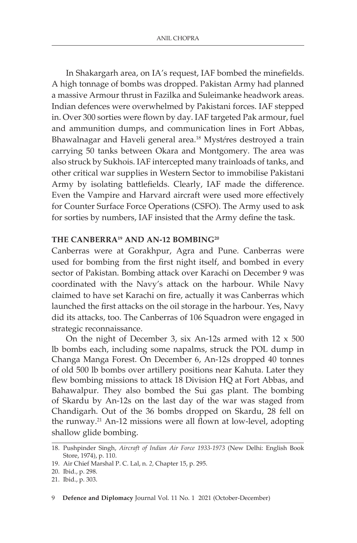In Shakargarh area, on IA's request, IAF bombed the minefields. A high tonnage of bombs was dropped. Pakistan Army had planned a massive Armour thrust in Fazilka and Suleimanke headwork areas. Indian defences were overwhelmed by Pakistani forces. IAF stepped in. Over 300 sorties were flown by day. IAF targeted Pak armour, fuel and ammunition dumps, and communication lines in Fort Abbas, Bhawalnagar and Haveli general area.18 Myst*é*res destroyed a train carrying 50 tanks between Okara and Montgomery. The area was also struck by Sukhois. IAF intercepted many trainloads of tanks, and other critical war supplies in Western Sector to immobilise Pakistani Army by isolating battlefields. Clearly, IAF made the difference. Even the Vampire and Harvard aircraft were used more effectively for Counter Surface Force Operations (CSFO). The Army used to ask for sorties by numbers, IAF insisted that the Army define the task.

## **THE CANBERRA19 AND AN-12 BOMBING20**

Canberras were at Gorakhpur, Agra and Pune. Canberras were used for bombing from the first night itself, and bombed in every sector of Pakistan. Bombing attack over Karachi on December 9 was coordinated with the Navy's attack on the harbour. While Navy claimed to have set Karachi on fire, actually it was Canberras which launched the first attacks on the oil storage in the harbour. Yes, Navy did its attacks, too. The Canberras of 106 Squadron were engaged in strategic reconnaissance.

On the night of December 3, six An-12s armed with  $12 \times 500$ lb bombs each, including some napalms, struck the POL dump in Changa Manga Forest. On December 6, An-12s dropped 40 tonnes of old 500 lb bombs over artillery positions near Kahuta. Later they flew bombing missions to attack 18 Division HQ at Fort Abbas, and Bahawalpur. They also bombed the Sui gas plant. The bombing of Skardu by An-12s on the last day of the war was staged from Chandigarh. Out of the 36 bombs dropped on Skardu, 28 fell on the runway.21 An-12 missions were all flown at low-level, adopting shallow glide bombing.

<sup>18.</sup> Pushpinder Singh, *Aircraft of Indian Air Force 1933-1973* (New Delhi: English Book Store, 1974), p. 110.

<sup>19.</sup> Air Chief Marshal P. C. Lal, n. *2,* Chapter 15, p. 295.

<sup>20.</sup> Ibid., p. 298.

<sup>21.</sup> Ibid., p. 303.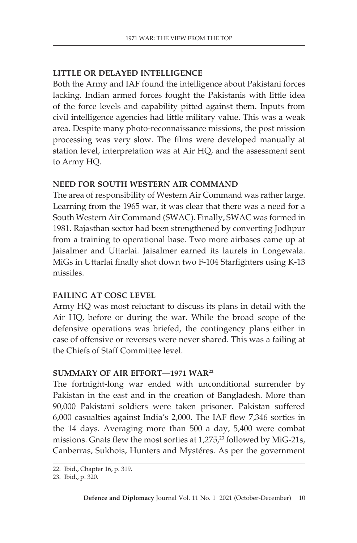## **LITTLE OR DELAYED INTELLIGENCE**

Both the Army and IAF found the intelligence about Pakistani forces lacking. Indian armed forces fought the Pakistanis with little idea of the force levels and capability pitted against them. Inputs from civil intelligence agencies had little military value. This was a weak area. Despite many photo-reconnaissance missions, the post mission processing was very slow. The films were developed manually at station level, interpretation was at Air HQ, and the assessment sent to Army HQ.

## **NEED FOR SOUTH WESTERN AIR COMMAND**

The area of responsibility of Western Air Command was rather large. Learning from the 1965 war, it was clear that there was a need for a South Western Air Command (SWAC). Finally, SWAC was formed in 1981. Rajasthan sector had been strengthened by converting Jodhpur from a training to operational base. Two more airbases came up at Jaisalmer and Uttarlai. Jaisalmer earned its laurels in Longewala. MiGs in Uttarlai finally shot down two F-104 Starfighters using K-13 missiles.

## **FAILING AT COSC LEVEL**

Army HQ was most reluctant to discuss its plans in detail with the Air HQ, before or during the war. While the broad scope of the defensive operations was briefed, the contingency plans either in case of offensive or reverses were never shared. This was a failing at the Chiefs of Staff Committee level.

## **SUMMARY OF AIR EFFORT—1971 WAR22**

The fortnight-long war ended with unconditional surrender by Pakistan in the east and in the creation of Bangladesh. More than 90,000 Pakistani soldiers were taken prisoner. Pakistan suffered 6,000 casualties against India's 2,000. The IAF flew 7,346 sorties in the 14 days. Averaging more than 500 a day, 5,400 were combat missions. Gnats flew the most sorties at  $1,275$ ,<sup>23</sup> followed by MiG-21s, Canberras, Sukhois, Hunters and Mystéres. As per the government

<sup>22.</sup> Ibid., Chapter 16, p. 319.

<sup>23.</sup> Ibid., p. 320.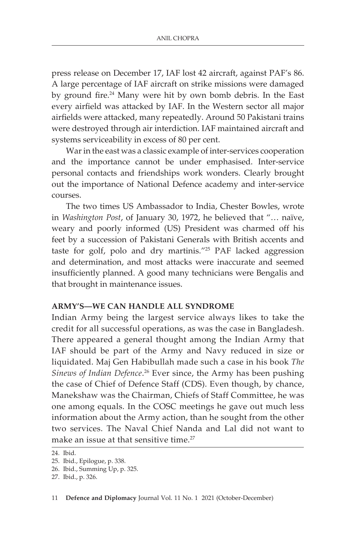press release on December 17, IAF lost 42 aircraft, against PAF's 86. A large percentage of IAF aircraft on strike missions were damaged by ground fire.<sup>24</sup> Many were hit by own bomb debris. In the East every airfield was attacked by IAF. In the Western sector all major airfields were attacked, many repeatedly. Around 50 Pakistani trains were destroyed through air interdiction. IAF maintained aircraft and systems serviceability in excess of 80 per cent.

War in the east was a classic example of inter-services cooperation and the importance cannot be under emphasised. Inter-service personal contacts and friendships work wonders. Clearly brought out the importance of National Defence academy and inter-service courses.

The two times US Ambassador to India, Chester Bowles, wrote in *Washington Post*, of January 30, 1972, he believed that "… naïve, weary and poorly informed (US) President was charmed off his feet by a succession of Pakistani Generals with British accents and taste for golf, polo and dry martinis."25 PAF lacked aggression and determination, and most attacks were inaccurate and seemed insufficiently planned. A good many technicians were Bengalis and that brought in maintenance issues.

## **ARMY'S—WE CAN HANDLE ALL SYNDROME**

Indian Army being the largest service always likes to take the credit for all successful operations, as was the case in Bangladesh. There appeared a general thought among the Indian Army that IAF should be part of the Army and Navy reduced in size or liquidated. Maj Gen Habibullah made such a case in his book *The Sinews of Indian Defence*. 26 Ever since, the Army has been pushing the case of Chief of Defence Staff (CDS). Even though, by chance, Manekshaw was the Chairman, Chiefs of Staff Committee, he was one among equals. In the COSC meetings he gave out much less information about the Army action, than he sought from the other two services. The Naval Chief Nanda and Lal did not want to make an issue at that sensitive time.<sup>27</sup>

<sup>24.</sup> Ibid.

<sup>25.</sup> Ibid., Epilogue, p. 338.

<sup>26.</sup> Ibid., Summing Up, p. 325.

<sup>27.</sup> Ibid., p. 326.